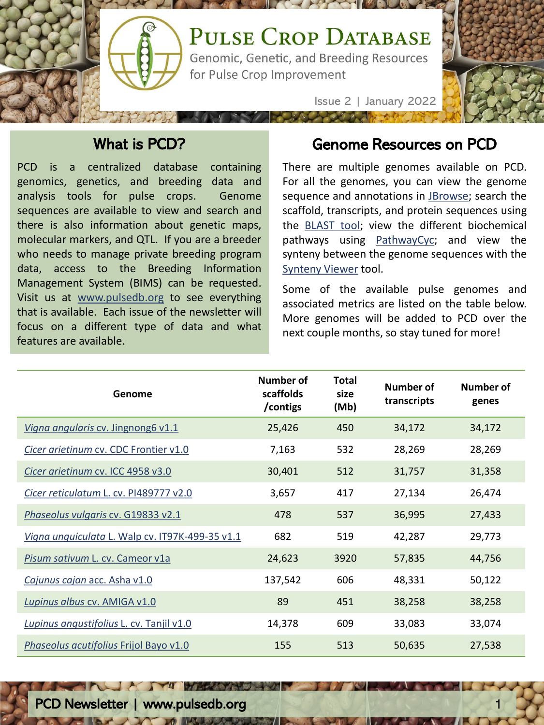

## What is PCD?

PCD is a centralized database containing genomics, genetics, and breeding data and analysis tools for pulse crops. Genome sequences are available to view and search and there is also information about genetic maps, molecular markers, and QTL. If you are a breeder who needs to manage private breeding program data, access to the Breeding Information Management System (BIMS) can be requested. Visit us at [www.pulsedb.org](http://www.pulsedb.org/) to see everything that is available. Each issue of the newsletter will focus on a different type of data and what features are available.

#### Genome Resources on PCD

There are multiple genomes available on PCD. For all the genomes, you can view the genome sequence and annotations in [JBrowse](https://www.pulsedb.org/jbrowses); search the scaffold, transcripts, and protein sequences using the [BLAST](https://www.pulsedb.org/blast) tool; view the different biochemical pathways using [PathwayCyc;](http://ptools.pulsedb.org/) and view the synteny between the genome sequences with the [Synteny](https://www.pulsedb.org/synview/search) Viewer tool.

Some of the available pulse genomes and associated metrics are listed on the table below. More genomes will be added to PCD over the next couple months, so stay tuned for more!

| Genome                                          | <b>Number of</b><br>scaffolds<br>/contigs | <b>Total</b><br>size<br>(Mb) | <b>Number of</b><br>transcripts | Number of<br>genes |
|-------------------------------------------------|-------------------------------------------|------------------------------|---------------------------------|--------------------|
| Vigna angularis cv. Jingnong6 v1.1              | 25,426                                    | 450                          | 34,172                          | 34,172             |
| Cicer arietinum cv. CDC Frontier v1.0           | 7,163                                     | 532                          | 28,269                          | 28,269             |
| Cicer arietinum cv. ICC 4958 v3.0               | 30,401                                    | 512                          | 31,757                          | 31,358             |
| Cicer reticulatum L. cv. PI489777 v2.0          | 3,657                                     | 417                          | 27,134                          | 26,474             |
| Phaseolus vulgaris cv. G19833 v2.1              | 478                                       | 537                          | 36,995                          | 27,433             |
| Vigna unguiculata L. Walp cv. IT97K-499-35 v1.1 | 682                                       | 519                          | 42,287                          | 29,773             |
| Pisum sativum L. cv. Cameor v1a                 | 24,623                                    | 3920                         | 57,835                          | 44,756             |
| Cajunus cajan acc. Asha v1.0                    | 137,542                                   | 606                          | 48,331                          | 50,122             |
| Lupinus albus cv. AMIGA v1.0                    | 89                                        | 451                          | 38,258                          | 38,258             |
| Lupinus angustifolius L. cv. Tanjil v1.0        | 14,378                                    | 609                          | 33,083                          | 33,074             |
| Phaseolus acutifolius Frijol Bayo v1.0          | 155                                       | 513                          | 50,635                          | 27,538             |

PCD Newsletter | www.pulsedb.org